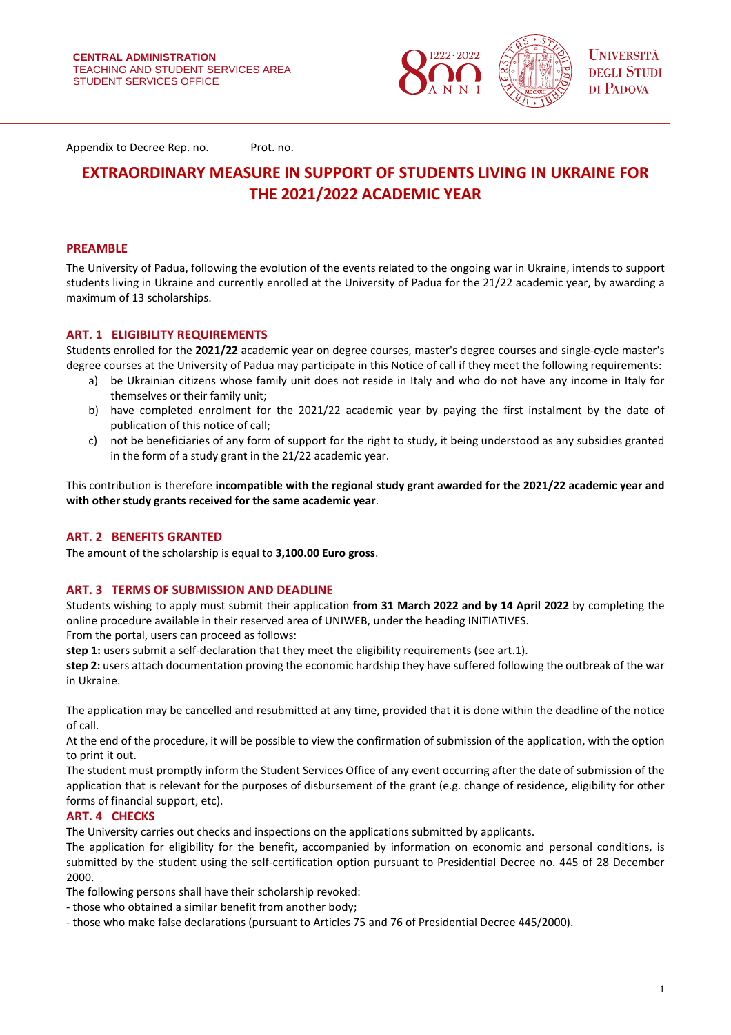

Appendix to Decree Rep. no. Prot. no.

# **EXTRAORDINARY MEASURE IN SUPPORT OF STUDENTS LIVING IN UKRAINE FOR THE 2021/2022 ACADEMIC YEAR**

## **PREAMBLE**

The University of Padua, following the evolution of the events related to the ongoing war in Ukraine, intends to support students living in Ukraine and currently enrolled at the University of Padua for the 21/22 academic year, by awarding a maximum of 13 scholarships.

# **ART. 1 ELIGIBILITY REQUIREMENTS**

Students enrolled for the **2021/22** academic year on degree courses, master's degree courses and single-cycle master's degree courses at the University of Padua may participate in this Notice of call if they meet the following requirements:

- a) be Ukrainian citizens whose family unit does not reside in Italy and who do not have any income in Italy for themselves or their family unit;
- b) have completed enrolment for the 2021/22 academic year by paying the first instalment by the date of publication of this notice of call;
- c) not be beneficiaries of any form of support for the right to study, it being understood as any subsidies granted in the form of a study grant in the 21/22 academic year.

This contribution is therefore **incompatible with the regional study grant awarded for the 2021/22 academic year and with other study grants received for the same academic year**.

# **ART. 2 BENEFITS GRANTED**

The amount of the scholarship is equal to **3,100.00 Euro gross**.

#### **ART. 3 TERMS OF SUBMISSION AND DEADLINE**

Students wishing to apply must submit their application **from 31 March 2022 and by 14 April 2022** by completing the online procedure available in their reserved area of UNIWEB, under the heading INITIATIVES.

From the portal, users can proceed as follows:

**step 1:** users submit a self-declaration that they meet the eligibility requirements (see art.1).

**step 2:** users attach documentation proving the economic hardship they have suffered following the outbreak of the war in Ukraine.

The application may be cancelled and resubmitted at any time, provided that it is done within the deadline of the notice of call.

At the end of the procedure, it will be possible to view the confirmation of submission of the application, with the option to print it out.

The student must promptly inform the Student Services Office of any event occurring after the date of submission of the application that is relevant for the purposes of disbursement of the grant (e.g. change of residence, eligibility for other forms of financial support, etc).

#### **ART. 4 CHECKS**

The University carries out checks and inspections on the applications submitted by applicants.

The application for eligibility for the benefit, accompanied by information on economic and personal conditions, is submitted by the student using the self-certification option pursuant to Presidential Decree no. 445 of 28 December 2000.

The following persons shall have their scholarship revoked:

- those who obtained a similar benefit from another body;
- those who make false declarations (pursuant to Articles 75 and 76 of Presidential Decree 445/2000).